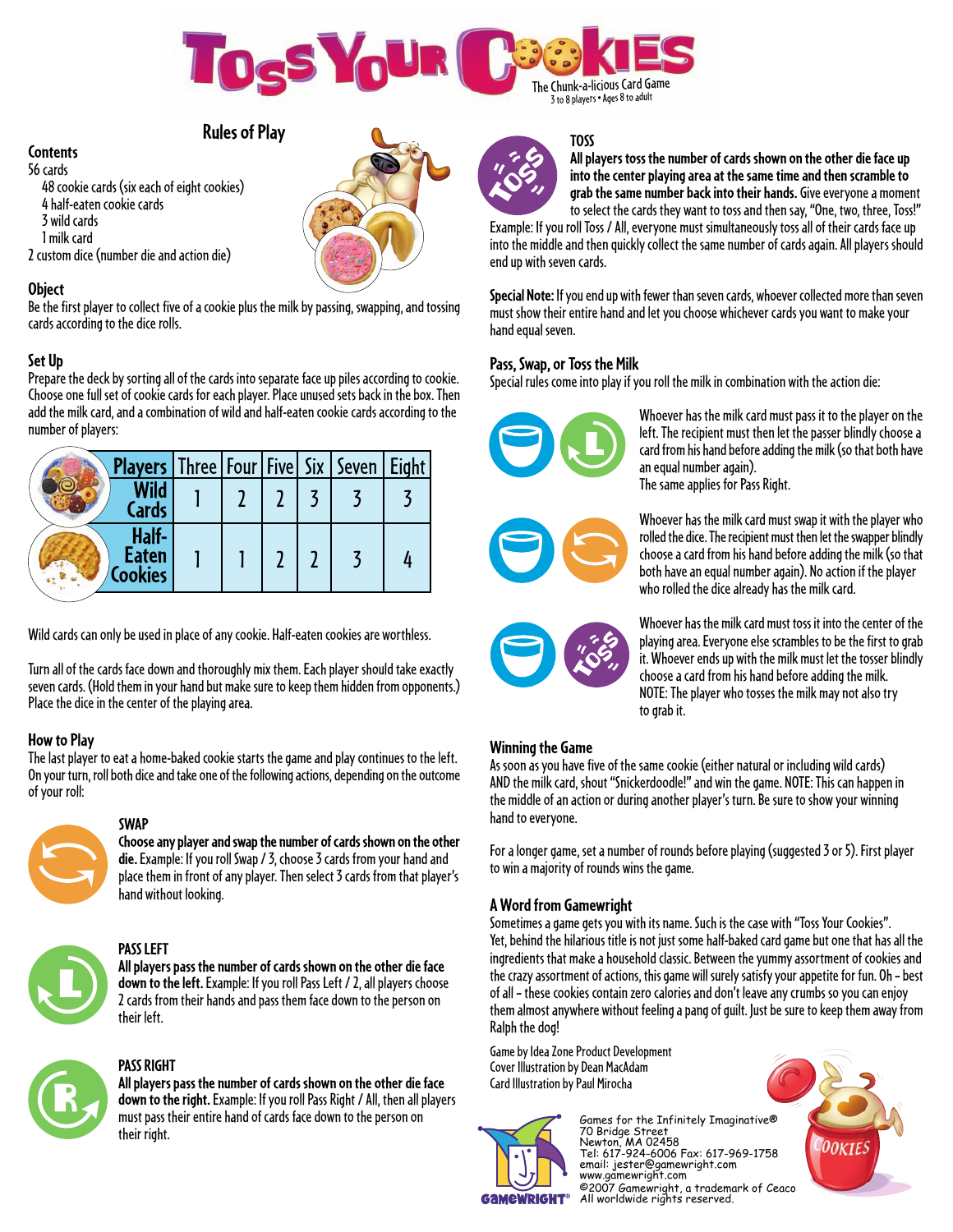

# **Rules of Play**

#### **Contents**

56 cards 48 cookie cards (six each of eight cookies) 4 half-eaten cookie cards 3 wild cards 1 milk card 2 custom dice (number die and action die)

#### **Object**

Be the first player to collect five of a cookie plus the milk by passing, swapping, and tossing cards according to the dice rolls.

#### **Set Up**

Prepare the deck by sorting all of the cards into separate face up piles according to cookie. Choose one full set of cookie cards for each player. Place unused sets back in the box. Then add the milk card, and a combination of wild and half-eaten cookie cards according to the number of players:

|                         |                      |  |  | <b>Players</b> Three   Four   Five   Six   Seven   Eight |  |
|-------------------------|----------------------|--|--|----------------------------------------------------------|--|
|                         | <b>Wild</b><br>Cards |  |  |                                                          |  |
| <b>Eaten</b><br>Cookies | Half-                |  |  |                                                          |  |

Wild cards can only be used in place of any cookie. Half-eaten cookies are worthless.

Turn all of the cards face down and thoroughly mix them. Each player should take exactly seven cards. (Hold them in your hand but make sure to keep them hidden from opponents.) Place the dice in the center of the playing area.

#### **How to Play**

The last player to eat a home-baked cookie starts the game and play continues to the left. On your turn, roll both dice and take one of the following actions, depending on the outcome of your roll:



#### **SWAP**

**Choose any player and swap the number of cards shown on the other die.**Example: If you roll Swap / 3, choose 3 cards from your hand and place them in front of any player. Then select 3 cards from that player's hand without looking.



# **PASS LEFT**

**All players pass the number of cards shown on the other die face down to the left.** Example: If you roll Pass Left / 2, all players choose 2 cards from their hands and pass them face down to the person on their left.



# **PASS RIGHT**

**All players pass the number of cards shown on the other die face down to the right.** Example: If you roll Pass Right / All, then all players must pass their entire hand of cards face down to the person on their right.





# **TOSS**

**All players toss the number of cards shown on the other die face up into the center playing area at the same time and then scramble to grab the same number back into their hands.** Give everyone a moment to select the cards they want to toss and then say, "One, two, three, Toss!"

Example: If you roll Toss / All, everyone must simultaneously toss all of their cards face up into the middle and then quickly collect the same number of cards again. All players should end up with seven cards.

**Special Note:** If you end up with fewer than seven cards, whoever collected more than seven must show their entire hand and let you choose whichever cards you want to make your hand equal seven.

# **Pass, Swap, or Toss the Milk**

Special rules come into play if you roll the milk in combination with the action die:



Whoever has the milk card must pass it to the player on the left. The recipient must then let the passer blindly choose a card from his hand before adding the milk (so that both have an equal number again). The same applies for Pass Right.

Whoever has the milk card must swap it with the player who rolled the dice. The recipient must then let the swapper blindly choose a card from his hand before adding the milk (so that both have an equal number again). No action if the player who rolled the dice already has the milk card.

> Whoever has the milk card must toss it into the center of the playing area. Everyone else scrambles to be the first to grab it. Whoever ends up with the milk must let the tosser blindly choose a card from his hand before adding the milk. NOTE: The player who tosses the milk may not also try to grab it.

#### **Winning the Game**

As soon as you have five of the same cookie (either natural or including wild cards) AND the milk card, shout "Snickerdoodle!" and win the game. NOTE: This can happen in the middle of an action or during another player's turn. Be sure to show your winning hand to everyone.

For a longer game, set a number of rounds before playing (suggested 3 or 5). First player to win a majority of rounds wins the game.

# **A Word from Gamewright**

Sometimes a game gets you with its name. Such is the case with "Toss Your Cookies". Yet, behind the hilarious title is not just some half-baked card game but one that has all the ingredients that make a household classic. Between the yummy assortment of cookies and the crazy assortment of actions, this game will surely satisfy your appetite for fun. Oh – best of all – these cookies contain zero calories and don't leave any crumbs so you can enjoy them almost anywhere without feeling a pang of guilt. Just be sure to keep them away from Ralph the dog!

Game by Idea Zone Product Development Cover Illustration by Dean MacAdam Card Illustration by Paul Mirocha



Games for the Infinitely Imaginative® 70 Bridge Street Newton, MA 02458 Tel: 617-924-6006 Fax: 617-969-1758 email: jester@gamewright.com www.gamewright.com ©2007 Gamewright, a trademark of Ceaco All worldwide rights reserved.